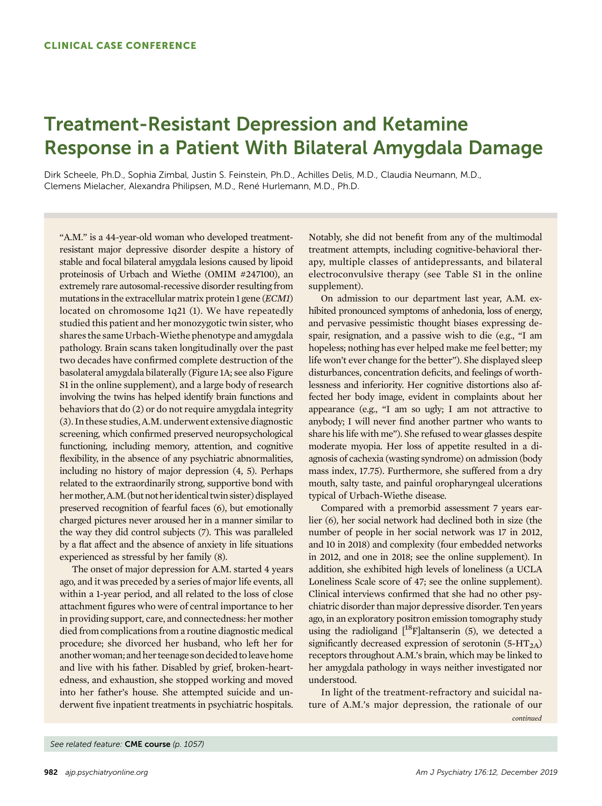## Treatment-Resistant Depression and Ketamine Response in a Patient With Bilateral Amygdala Damage

Dirk Scheele, Ph.D., Sophia Zimbal, Justin S. Feinstein, Ph.D., Achilles Delis, M.D., Claudia Neumann, M.D., Clemens Mielacher, Alexandra Philipsen, M.D., René Hurlemann, M.D., Ph.D.

"A.M." is a 44-year-old woman who developed treatmentresistant major depressive disorder despite a history of stable and focal bilateral amygdala lesions caused by lipoid proteinosis of Urbach and Wiethe (OMIM #247100), an extremely rare autosomal-recessive disorder resulting from mutations in the extracellular matrix protein 1 gene (ECM1) located on chromosome 1q21 (1). We have repeatedly studied this patient and her monozygotic twin sister, who shares the same Urbach-Wiethe phenotype and amygdala pathology. Brain scans taken longitudinally over the past two decades have confirmed complete destruction of the basolateral amygdala bilaterally (Figure 1A; see also Figure S1 in the online supplement), and a large body of research involving the twins has helped identify brain functions and behaviors that do (2) or do not require amygdala integrity (3). In these studies, A.M. underwent extensive diagnostic screening, which confirmed preserved neuropsychological functioning, including memory, attention, and cognitive flexibility, in the absence of any psychiatric abnormalities, including no history of major depression (4, 5). Perhaps related to the extraordinarily strong, supportive bond with hermother,A.M. (but not heridentical twin sister) displayed preserved recognition of fearful faces (6), but emotionally charged pictures never aroused her in a manner similar to the way they did control subjects (7). This was paralleled by a flat affect and the absence of anxiety in life situations experienced as stressful by her family (8).

The onset of major depression for A.M. started 4 years ago, and it was preceded by a series of major life events, all within a 1-year period, and all related to the loss of close attachment figures who were of central importance to her in providing support, care, and connectedness: her mother died from complications from a routine diagnostic medical procedure; she divorced her husband, who left her for another woman; and her teenage son decided to leave home and live with his father. Disabled by grief, broken-heartedness, and exhaustion, she stopped working and moved into her father's house. She attempted suicide and underwent five inpatient treatments in psychiatric hospitals. Notably, she did not benefit from any of the multimodal treatment attempts, including cognitive-behavioral therapy, multiple classes of antidepressants, and bilateral electroconvulsive therapy (see Table S1 in the online supplement).

On admission to our department last year, A.M. exhibited pronounced symptoms of anhedonia, loss of energy, and pervasive pessimistic thought biases expressing despair, resignation, and a passive wish to die (e.g., "I am hopeless; nothing has ever helped make me feel better; my life won't ever change for the better"). She displayed sleep disturbances, concentration deficits, and feelings of worthlessness and inferiority. Her cognitive distortions also affected her body image, evident in complaints about her appearance (e.g., "I am so ugly; I am not attractive to anybody; I will never find another partner who wants to share his life with me"). She refused to wear glasses despite moderate myopia. Her loss of appetite resulted in a diagnosis of cachexia (wasting syndrome) on admission (body mass index, 17.75). Furthermore, she suffered from a dry mouth, salty taste, and painful oropharyngeal ulcerations typical of Urbach-Wiethe disease.

Compared with a premorbid assessment 7 years earlier (6), her social network had declined both in size (the number of people in her social network was 17 in 2012, and 10 in 2018) and complexity (four embedded networks in 2012, and one in 2018; see the online supplement). In addition, she exhibited high levels of loneliness (a UCLA Loneliness Scale score of 47; see the online supplement). Clinical interviews confirmed that she had no other psychiatric disorder than major depressive disorder. Ten years ago, in an exploratory positron emission tomography study using the radioligand  $[{}^{18}F]$ altanserin (5), we detected a significantly decreased expression of serotonin  $(5-HT<sub>2A</sub>)$ receptors throughout A.M.'s brain, which may be linked to her amygdala pathology in ways neither investigated nor understood.

In light of the treatment-refractory and suicidal nature of A.M.'s major depression, the rationale of our continued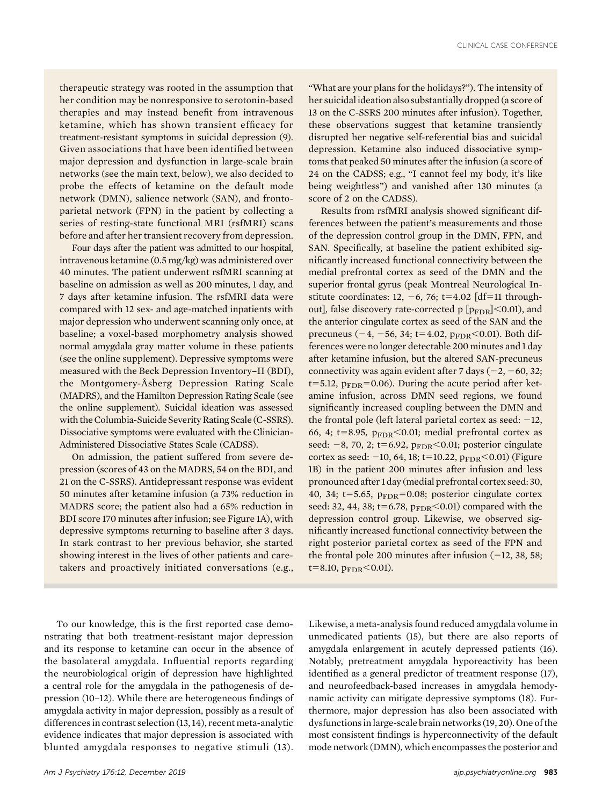therapeutic strategy was rooted in the assumption that her condition may be nonresponsive to serotonin-based therapies and may instead benefit from intravenous ketamine, which has shown transient efficacy for treatment-resistant symptoms in suicidal depression (9). Given associations that have been identified between major depression and dysfunction in large-scale brain networks (see the main text, below), we also decided to probe the effects of ketamine on the default mode network (DMN), salience network (SAN), and frontoparietal network (FPN) in the patient by collecting a series of resting-state functional MRI (rsfMRI) scans before and after her transient recovery from depression.

Four days after the patient was admitted to our hospital, intravenous ketamine (0.5 mg/kg) was administered over 40 minutes. The patient underwent rsfMRI scanning at baseline on admission as well as 200 minutes, 1 day, and 7 days after ketamine infusion. The rsfMRI data were compared with 12 sex- and age-matched inpatients with major depression who underwent scanning only once, at baseline; a voxel-based morphometry analysis showed normal amygdala gray matter volume in these patients (see the online supplement). Depressive symptoms were measured with the Beck Depression Inventory–II (BDI), the Montgomery-Åsberg Depression Rating Scale (MADRS), and the Hamilton Depression Rating Scale (see the online supplement). Suicidal ideation was assessed with the Columbia-Suicide Severity Rating Scale (C-SSRS). Dissociative symptoms were evaluated with the Clinician-Administered Dissociative States Scale (CADSS).

On admission, the patient suffered from severe depression (scores of 43 on the MADRS, 54 on the BDI, and 21 on the C-SSRS). Antidepressant response was evident 50 minutes after ketamine infusion (a 73% reduction in MADRS score; the patient also had a 65% reduction in BDI score 170 minutes after infusion; see Figure 1A), with depressive symptoms returning to baseline after 3 days. In stark contrast to her previous behavior, she started showing interest in the lives of other patients and caretakers and proactively initiated conversations (e.g., "What are your plans for the holidays?"). The intensity of her suicidal ideation also substantially dropped (a score of 13 on the C-SSRS 200 minutes after infusion). Together, these observations suggest that ketamine transiently disrupted her negative self-referential bias and suicidal depression. Ketamine also induced dissociative symptoms that peaked 50 minutes after the infusion (a score of 24 on the CADSS; e.g., "I cannot feel my body, it's like being weightless") and vanished after 130 minutes (a score of 2 on the CADSS).

Results from rsfMRI analysis showed significant differences between the patient's measurements and those of the depression control group in the DMN, FPN, and SAN. Specifically, at baseline the patient exhibited significantly increased functional connectivity between the medial prefrontal cortex as seed of the DMN and the superior frontal gyrus (peak Montreal Neurological Institute coordinates: 12,  $-6$ , 76; t=4.02 [df=11 throughout], false discovery rate-corrected p  $[p_{\rm FDR}]<$  0.01), and the anterior cingulate cortex as seed of the SAN and the precuneus (-4, -56, 34; t=4.02,  $p_{\text{FDR}}$ <0.01). Both differences were no longer detectable 200 minutes and 1 day after ketamine infusion, but the altered SAN-precuneus connectivity was again evident after 7 days  $(-2, -60, 32;$  $t=5.12$ ,  $p_{\text{FDR}}=0.06$ ). During the acute period after ketamine infusion, across DMN seed regions, we found significantly increased coupling between the DMN and the frontal pole (left lateral parietal cortex as seed:  $-12$ , 66, 4; t=8.95,  $p_{\text{FDR}}$ <0.01; medial prefrontal cortex as seed:  $-8$ , 70, 2; t=6.92,  $p_{\text{FDR}}$ <0.01; posterior cingulate cortex as seed:  $-10$ , 64, 18; t=10.22,  $p_{\text{FDR}}$ <0.01) (Figure 1B) in the patient 200 minutes after infusion and less pronounced after 1 day (medial prefrontal cortex seed: 30, 40, 34;  $t=5.65$ ,  $p_{\text{FDR}}=0.08$ ; posterior cingulate cortex seed: 32, 44, 38; t=6.78,  $p_{\text{FDR}}$ <0.01) compared with the depression control group. Likewise, we observed significantly increased functional connectivity between the right posterior parietal cortex as seed of the FPN and the frontal pole 200 minutes after infusion  $(-12, 38, 58;$  $t=8.10, p_{\text{FDR}}<0.01$ ).

To our knowledge, this is the first reported case demonstrating that both treatment-resistant major depression and its response to ketamine can occur in the absence of the basolateral amygdala. Influential reports regarding the neurobiological origin of depression have highlighted a central role for the amygdala in the pathogenesis of depression (10–12). While there are heterogeneous findings of amygdala activity in major depression, possibly as a result of differences in contrast selection (13, 14), recent meta-analytic evidence indicates that major depression is associated with blunted amygdala responses to negative stimuli (13). Likewise, a meta-analysis found reduced amygdala volume in unmedicated patients (15), but there are also reports of amygdala enlargement in acutely depressed patients (16). Notably, pretreatment amygdala hyporeactivity has been identified as a general predictor of treatment response (17), and neurofeedback-based increases in amygdala hemodynamic activity can mitigate depressive symptoms (18). Furthermore, major depression has also been associated with dysfunctions in large-scale brain networks (19, 20). One of the most consistent findings is hyperconnectivity of the default mode network (DMN), which encompasses the posterior and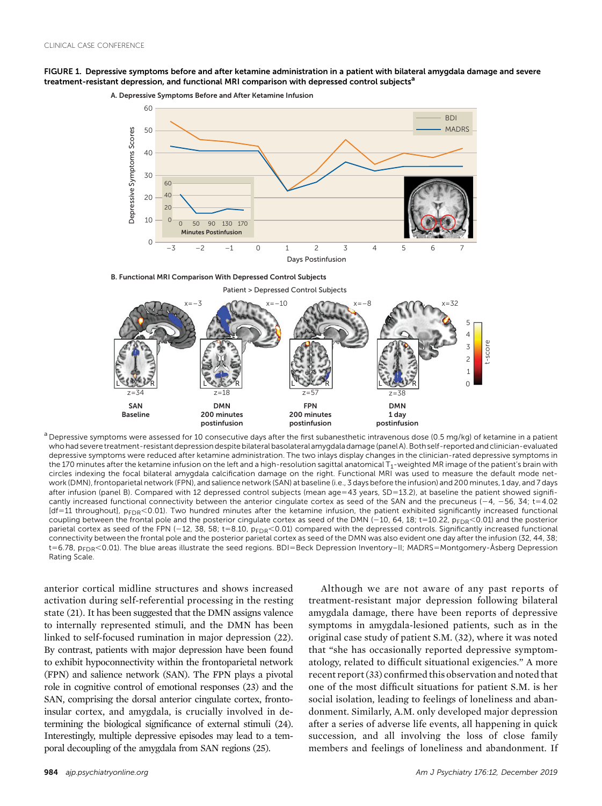



 $a$  Depressive symptoms were assessed for 10 consecutive days after the first subanesthetic intravenous dose (0.5 mg/kg) of ketamine in a patient who had severe treatment-resistant depression despite bilateral basolateral amygdala damage(panel A). Both self-reported and clinician-evaluated depressive symptoms were reduced after ketamine administration. The two inlays display changes in the clinician-rated depressive symptoms in the 170 minutes after the ketamine infusion on the left and a high-resolution sagittal anatomical  $T_1$ -weighted MR image of the patient's brain with circles indexing the focal bilateral amygdala calcification damage on the right. Functional MRI was used to measure the default mode network (DMN), frontoparietal network (FPN), and salience network (SAN) at baseline (i.e., 3 days before the infusion) and 200 minutes, 1 day, and 7 days after infusion (panel B). Compared with 12 depressed control subjects (mean age=43 years, SD=13.2), at baseline the patient showed significantly increased functional connectivity between the anterior cingulate cortex as seed of the SAN and the precuneus (-4, -56, 34; t=4.02  $[df=11$  throughout],  $p_{FDR}$ <0.01). Two hundred minutes after the ketamine infusion, the patient exhibited significantly increased functional coupling between the frontal pole and the posterior cingulate cortex as seed of the DMN (-10, 64, 18; t=10.22,  $p_{FDR}$ <0.01) and the posterior parietal cortex as seed of the FPN (-12, 38, 58; t=8.10,  $p_{FDR}$ <0.01) compared with the depressed controls. Significantly increased functional connectivity between the frontal pole and the posterior parietal cortex as seed of the DMN was also evident one day after the infusion (32, 44, 38; t=6.78, pFDR<0.01). The blue areas illustrate the seed regions. BDI=Beck Depression Inventory–II; MADRS=Montgomery-Åsberg Depression Rating Scale.

anterior cortical midline structures and shows increased activation during self-referential processing in the resting state (21). It has been suggested that the DMN assigns valence to internally represented stimuli, and the DMN has been linked to self-focused rumination in major depression (22). By contrast, patients with major depression have been found to exhibit hypoconnectivity within the frontoparietal network (FPN) and salience network (SAN). The FPN plays a pivotal role in cognitive control of emotional responses (23) and the SAN, comprising the dorsal anterior cingulate cortex, frontoinsular cortex, and amygdala, is crucially involved in determining the biological significance of external stimuli (24). Interestingly, multiple depressive episodes may lead to a temporal decoupling of the amygdala from SAN regions (25).

Although we are not aware of any past reports of treatment-resistant major depression following bilateral amygdala damage, there have been reports of depressive symptoms in amygdala-lesioned patients, such as in the original case study of patient S.M. (32), where it was noted that "she has occasionally reported depressive symptomatology, related to difficult situational exigencies." A more recent report (33) confirmed this observation and noted that one of the most difficult situations for patient S.M. is her social isolation, leading to feelings of loneliness and abandonment. Similarly, A.M. only developed major depression after a series of adverse life events, all happening in quick succession, and all involving the loss of close family members and feelings of loneliness and abandonment. If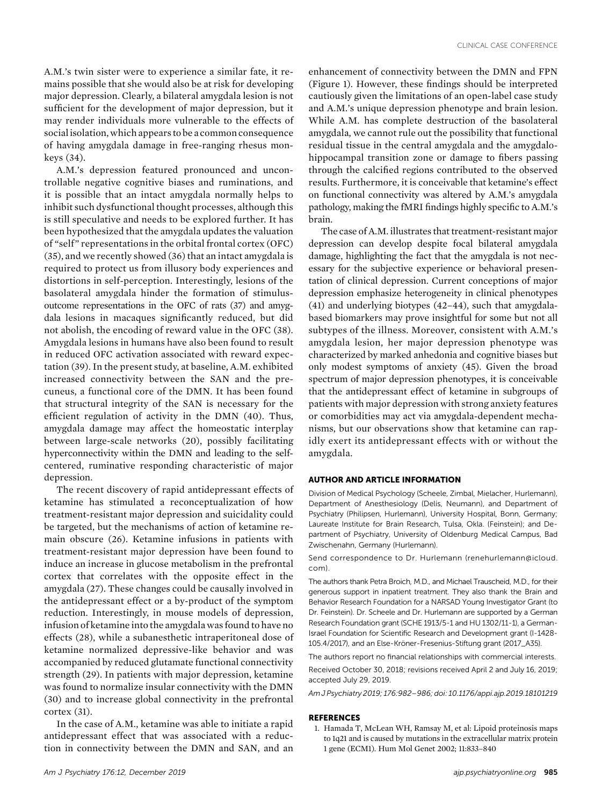A.M.'s twin sister were to experience a similar fate, it remains possible that she would also be at risk for developing major depression. Clearly, a bilateral amygdala lesion is not sufficient for the development of major depression, but it may render individuals more vulnerable to the effects of socialisolation, which appears to be a common consequence of having amygdala damage in free-ranging rhesus monkeys (34).

A.M.'s depression featured pronounced and uncontrollable negative cognitive biases and ruminations, and it is possible that an intact amygdala normally helps to inhibit such dysfunctional thought processes, although this is still speculative and needs to be explored further. It has been hypothesized that the amygdala updates the valuation of "self" representations in the orbital frontal cortex (OFC) (35), and we recently showed (36) that an intact amygdala is required to protect us from illusory body experiences and distortions in self-perception. Interestingly, lesions of the basolateral amygdala hinder the formation of stimulusoutcome representations in the OFC of rats (37) and amygdala lesions in macaques significantly reduced, but did not abolish, the encoding of reward value in the OFC (38). Amygdala lesions in humans have also been found to result in reduced OFC activation associated with reward expectation (39). In the present study, at baseline, A.M. exhibited increased connectivity between the SAN and the precuneus, a functional core of the DMN. It has been found that structural integrity of the SAN is necessary for the efficient regulation of activity in the DMN (40). Thus, amygdala damage may affect the homeostatic interplay between large-scale networks (20), possibly facilitating hyperconnectivity within the DMN and leading to the selfcentered, ruminative responding characteristic of major depression.

The recent discovery of rapid antidepressant effects of ketamine has stimulated a reconceptualization of how treatment-resistant major depression and suicidality could be targeted, but the mechanisms of action of ketamine remain obscure (26). Ketamine infusions in patients with treatment-resistant major depression have been found to induce an increase in glucose metabolism in the prefrontal cortex that correlates with the opposite effect in the amygdala (27). These changes could be causally involved in the antidepressant effect or a by-product of the symptom reduction. Interestingly, in mouse models of depression, infusion of ketamine into the amygdala was found to have no effects (28), while a subanesthetic intraperitoneal dose of ketamine normalized depressive-like behavior and was accompanied by reduced glutamate functional connectivity strength (29). In patients with major depression, ketamine was found to normalize insular connectivity with the DMN (30) and to increase global connectivity in the prefrontal cortex (31).

In the case of A.M., ketamine was able to initiate a rapid antidepressant effect that was associated with a reduction in connectivity between the DMN and SAN, and an

enhancement of connectivity between the DMN and FPN (Figure 1). However, these findings should be interpreted cautiously given the limitations of an open-label case study and A.M.'s unique depression phenotype and brain lesion. While A.M. has complete destruction of the basolateral amygdala, we cannot rule out the possibility that functional residual tissue in the central amygdala and the amygdalohippocampal transition zone or damage to fibers passing through the calcified regions contributed to the observed results. Furthermore, it is conceivable that ketamine's effect on functional connectivity was altered by A.M.'s amygdala pathology, making the fMRI findings highly specific to A.M.'s brain.

The case of A.M. illustrates that treatment-resistant major depression can develop despite focal bilateral amygdala damage, highlighting the fact that the amygdala is not necessary for the subjective experience or behavioral presentation of clinical depression. Current conceptions of major depression emphasize heterogeneity in clinical phenotypes (41) and underlying biotypes (42–44), such that amygdalabased biomarkers may prove insightful for some but not all subtypes of the illness. Moreover, consistent with A.M.'s amygdala lesion, her major depression phenotype was characterized by marked anhedonia and cognitive biases but only modest symptoms of anxiety (45). Given the broad spectrum of major depression phenotypes, it is conceivable that the antidepressant effect of ketamine in subgroups of patients with major depression with strong anxiety features or comorbidities may act via amygdala-dependent mechanisms, but our observations show that ketamine can rapidly exert its antidepressant effects with or without the amygdala.

## AUTHOR AND ARTICLE INFORMATION

Division of Medical Psychology (Scheele, Zimbal, Mielacher, Hurlemann), Department of Anesthesiology (Delis, Neumann), and Department of Psychiatry (Philipsen, Hurlemann), University Hospital, Bonn, Germany; Laureate Institute for Brain Research, Tulsa, Okla. (Feinstein); and Department of Psychiatry, University of Oldenburg Medical Campus, Bad Zwischenahn, Germany (Hurlemann).

Send correspondence to Dr. Hurlemann ([renehurlemann@icloud.](mailto:renehurlemann@icloud.com) [com](mailto:renehurlemann@icloud.com)).

The authors thank Petra Broich, M.D., and Michael Trauscheid, M.D., for their generous support in inpatient treatment. They also thank the Brain and Behavior Research Foundation for a NARSAD Young Investigator Grant (to Dr. Feinstein). Dr. Scheele and Dr. Hurlemann are supported by a German Research Foundation grant (SCHE 1913/5-1 and HU 1302/11-1), a German-Israel Foundation for Scientific Research and Development grant (I-1428- 105.4/2017), and an Else-Kröner-Fresenius-Stiftung grant (2017\_A35).

The authors report no financial relationships with commercial interests. Received October 30, 2018; revisions received April 2 and July 16, 2019; accepted July 29, 2019.

Am J Psychiatry 2019; 176:982–986; doi: 10.1176/appi.ajp.2019.18101219

## **REFERENCES**

1. Hamada T, McLean WH, Ramsay M, et al: Lipoid proteinosis maps to 1q21 and is caused by mutations in the extracellular matrix protein 1 gene (ECM1). Hum Mol Genet 2002; 11:833–840